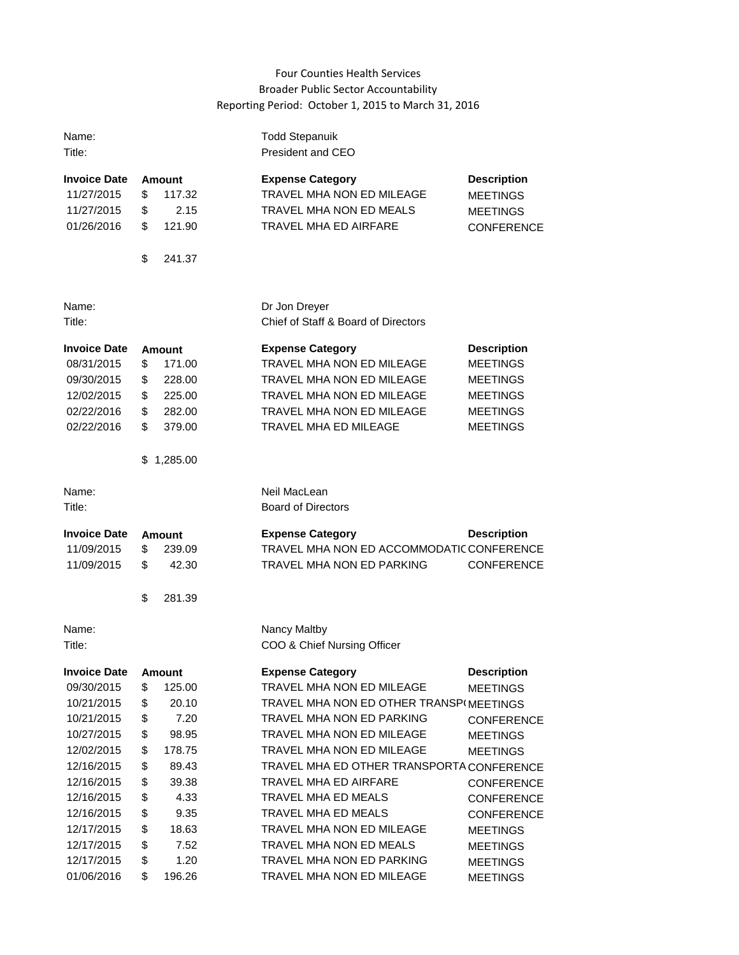## Four Counties Health Services Broader Public Sector Accountability Reporting Period: October 1, 2015 to March 31, 2016

| Name:<br>Title:                                                                                                                                                                             |                                                                      |                                                                                                                        | <b>Todd Stepanuik</b><br>President and CEO                                                                                                                                                                                                                                                                                                                                                                                  |                                                                                                                                                                                                                          |
|---------------------------------------------------------------------------------------------------------------------------------------------------------------------------------------------|----------------------------------------------------------------------|------------------------------------------------------------------------------------------------------------------------|-----------------------------------------------------------------------------------------------------------------------------------------------------------------------------------------------------------------------------------------------------------------------------------------------------------------------------------------------------------------------------------------------------------------------------|--------------------------------------------------------------------------------------------------------------------------------------------------------------------------------------------------------------------------|
| Invoice Date<br>11/27/2015<br>11/27/2015<br>01/26/2016                                                                                                                                      | \$<br>\$<br>\$<br>\$                                                 | <b>Amount</b><br>117.32<br>2.15<br>121.90<br>241.37                                                                    | <b>Expense Category</b><br>TRAVEL MHA NON ED MILEAGE<br>TRAVEL MHA NON ED MEALS<br><b>TRAVEL MHA ED AIRFARE</b>                                                                                                                                                                                                                                                                                                             | <b>Description</b><br><b>MEETINGS</b><br><b>MEETINGS</b><br><b>CONFERENCE</b>                                                                                                                                            |
| Name:<br>Title:                                                                                                                                                                             |                                                                      |                                                                                                                        | Dr Jon Dreyer<br>Chief of Staff & Board of Directors                                                                                                                                                                                                                                                                                                                                                                        |                                                                                                                                                                                                                          |
| <b>Invoice Date</b><br>08/31/2015<br>09/30/2015<br>12/02/2015<br>02/22/2016<br>02/22/2016                                                                                                   | \$<br>\$<br>\$<br>\$<br>\$<br>S.                                     | <b>Amount</b><br>171.00<br>228.00<br>225.00<br>282.00<br>379.00<br>1,285.00                                            | <b>Expense Category</b><br>TRAVEL MHA NON ED MILEAGE<br>TRAVEL MHA NON ED MILEAGE<br><b>TRAVEL MHA NON ED MILEAGE</b><br><b>TRAVEL MHA NON ED MILEAGE</b><br><b>TRAVEL MHA ED MILEAGE</b>                                                                                                                                                                                                                                   | <b>Description</b><br><b>MEETINGS</b><br><b>MEETINGS</b><br><b>MEETINGS</b><br><b>MEETINGS</b><br><b>MEETINGS</b>                                                                                                        |
| Name:<br>Title:                                                                                                                                                                             |                                                                      |                                                                                                                        | Neil MacLean<br><b>Board of Directors</b>                                                                                                                                                                                                                                                                                                                                                                                   |                                                                                                                                                                                                                          |
| <b>Invoice Date</b><br>11/09/2015<br>11/09/2015                                                                                                                                             | \$<br>\$<br>\$                                                       | <b>Amount</b><br>239.09<br>42.30<br>281.39                                                                             | <b>Expense Category</b><br>TRAVEL MHA NON ED ACCOMMODATIC CONFERENCE<br><b>TRAVEL MHA NON ED PARKING</b>                                                                                                                                                                                                                                                                                                                    | <b>Description</b><br><b>CONFERENCE</b>                                                                                                                                                                                  |
| Name:<br>Title:                                                                                                                                                                             |                                                                      |                                                                                                                        | Nancy Maltby<br>COO & Chief Nursing Officer                                                                                                                                                                                                                                                                                                                                                                                 |                                                                                                                                                                                                                          |
| <b>Invoice Date</b><br>09/30/2015<br>10/21/2015<br>10/21/2015<br>10/27/2015<br>12/02/2015<br>12/16/2015<br>12/16/2015<br>12/16/2015<br>12/16/2015<br>12/17/2015<br>12/17/2015<br>12/17/2015 | \$<br>\$<br>\$<br>\$<br>\$<br>\$<br>\$<br>\$<br>\$<br>\$<br>\$<br>\$ | <b>Amount</b><br>125.00<br>20.10<br>7.20<br>98.95<br>178.75<br>89.43<br>39.38<br>4.33<br>9.35<br>18.63<br>7.52<br>1.20 | <b>Expense Category</b><br>TRAVEL MHA NON ED MILEAGE<br>TRAVEL MHA NON ED OTHER TRANSPIMEETINGS<br><b>TRAVEL MHA NON ED PARKING</b><br><b>TRAVEL MHA NON ED MILEAGE</b><br>TRAVEL MHA NON ED MILEAGE<br>TRAVEL MHA ED OTHER TRANSPORTA CONFERENCE<br><b>TRAVEL MHA ED AIRFARE</b><br>TRAVEL MHA ED MEALS<br>TRAVEL MHA ED MEALS<br><b>TRAVEL MHA NON ED MILEAGE</b><br>TRAVEL MHA NON ED MEALS<br>TRAVEL MHA NON ED PARKING | <b>Description</b><br><b>MEETINGS</b><br><b>CONFERENCE</b><br><b>MEETINGS</b><br><b>MEETINGS</b><br><b>CONFERENCE</b><br><b>CONFERENCE</b><br><b>CONFERENCE</b><br><b>MEETINGS</b><br><b>MEETINGS</b><br><b>MEETINGS</b> |
| 01/06/2016                                                                                                                                                                                  | \$                                                                   | 196.26                                                                                                                 | TRAVEL MHA NON ED MILEAGE                                                                                                                                                                                                                                                                                                                                                                                                   | <b>MEETINGS</b>                                                                                                                                                                                                          |